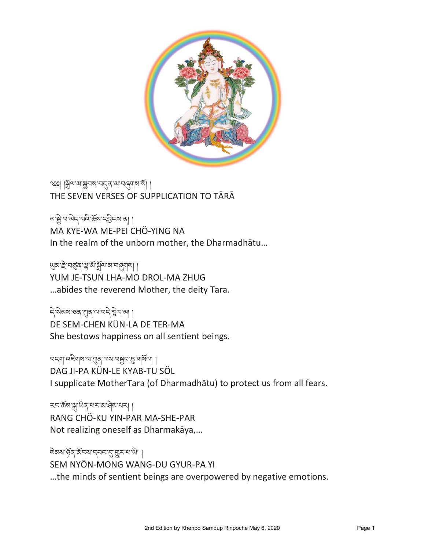

༄༅། །སྒྲོལ་མ་སྐྱབས་བདུན་མ་བཞུགས་སྒྲོ། ། THE SEVEN VERSES OF SUPPLICATION TO TĀRĀ

མ་སྐྱེ་བ་མེད་པའི་རΣས་དབྱིངས་ན། । MA KYE-WA ME-PEI CHÖ-YING NA In the realm of the unborn mother, the Dharmadhātu…

ཡུམ་རྐྱེ་བཙུན་ལྷ་མྒྲོ་སྒྲོལ་མ་བཞུགས། ། YUM JE-TSUN LHA-MO DROL-MA ZHUG …abides the reverend Mother, the deity Tara.

ন্দ্রিজ্ঞাত কাম্য বিদ্যালয় কা DE SEM-CHEN KÜN-LA DE TER-MA She bestows happiness on all sentient beings.

བདག་འཇིགས་པ་ཀུན་ལས་བསྐྱབ་ཏུ་གསྒྲོལ། ། DAG JI-PA KÜN-LE KYAB-TU SÖL I supplicate MotherTara (of Dharmadhātu) to protect us from all fears.

རང་རོས་སྐྱ་ལིན་པར་མ་བྲིས་པར། । RANG CHÖ-KU YIN-PAR MA-SHE-PAR Not realizing oneself as Dharmakāya,…

ষ্ঠ মৰাজ্য জ্ঞানৰ কৰা কৰা বিজ্ঞা SEM NYÖN-MONG WANG-DU GYUR-PA YI …the minds of sentient beings are overpowered by negative emotions.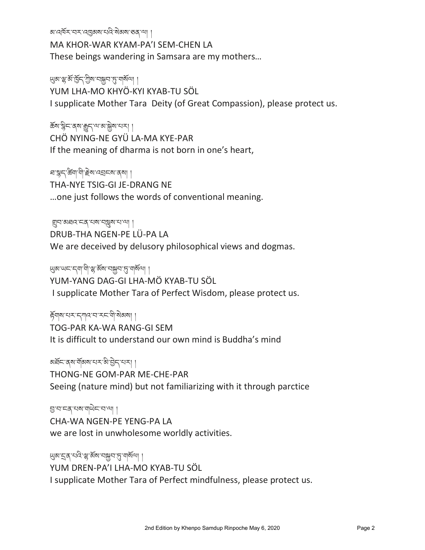<u>ঝান্মেঁ বাৰ পোৱ</u>ৰ পৰা বিদ্যালয় কৰি কৰি পৰা

MA KHOR-WAR KYAM-PA'I SEM-CHEN LA These beings wandering in Samsara are my mothers…

## <u></u> ৬ জুমা বুলু জুমা বিদ্যালী ।

YUM LHA-MO KHYÖ-KYI KYAB-TU SÖL

I supplicate Mother Tara Deity (of Great Compassion), please protect us.

# ཆྒྲོས་སིང་ནས་རྒྱུད་ལ་མ་སྐྱྐྱེས་པར། །

CHÖ NYING-NE GYÜ LA-MA KYE-PAR If the meaning of dharma is not born in one's heart,

#### ঘাম্বন'ৰ্জ্ঞা'শী'ৰ্ট্ৰুম'ন্নহানম'ৰ্মা ।

THA-NYE TSIG-GI JE-DRANG NE

…one just follows the words of conventional meaning.

#### གྲུབ་མཐའ་ངན་པས་བསླུས་པ་ལ། །

DRUB-THA NGEN-PE LÜ-PA LA We are deceived by delusory philosophical views and dogmas.

## ཡུམ་ཡང་དག་གི་ལྷ་མྒྲོས་བསྐྱབ་ཏུ་གསྒྲོལ། །

YUM-YANG DAG-GI LHA-MÖ KYAB-TU SÖL I supplicate Mother Tara of Perfect Wisdom, please protect us.

## རྒྲོགས་པར་དཀའ་བ་རང་གི་སྐྱེམས། །

TOG-PAR KA-WA RANG-GI SEM It is difficult to understand our own mind is Buddha's mind

#### अर्धेद अषा ग्रॅंबिष संस्था के अर्थ अपना

THONG-NE GOM-PAR ME-CHE-PAR Seeing (nature mind) but not familiarizing with it through parctice

#### བ་བ་ངན་པས་གཡྐྱེང་བ་ལ། །

CHA-WA NGEN-PE YENG-PA LA we are lost in unwholesome worldly activities.

#### <u> </u> খুম'নুৰ'ঘনি'শ্ল'র্মুম'দু'মার্মা ।

YUM DREN-PA'I LHA-MO KYAB-TU SÖL I supplicate Mother Tara of Perfect mindfulness, please protect us.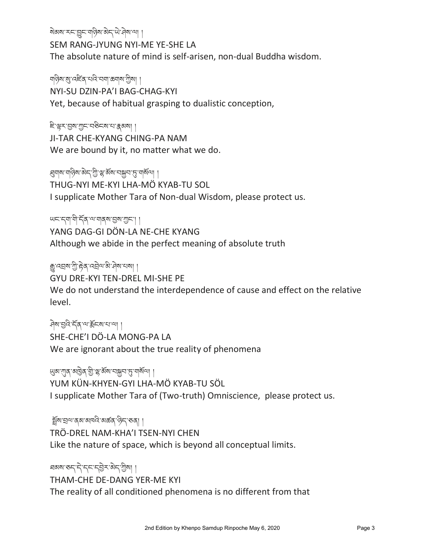ষ্টি মুখ্য বিধাপাৰী বিধাপা

SEM RANG-JYUNG NYI-ME YE-SHE LA

The absolute nature of mind is self-arisen, non-dual Buddha wisdom.

## শব্দ্বিম'ম্ভ'ৰে≅হি'ব্ৰাম'কৰাম'শ্ৰীমা ।

NYI-SU DZIN-PA'I BAG-CHAG-KYI

Yet, because of habitual grasping to dualistic conception,

#### ཇི་ལྟར་བས་ཀང་བཅིངས་པ་རྣམས། །

JI-TAR CHE-KYANG CHING-PA NAM We are bound by it, no matter what we do.

## ্ষ্মান'মান্ত্ৰী ক্ৰ'ড্ৰ' মুখ্য মুখ্য মন্ত্ৰী এই মান স্বাৰ্থী

THUG-NYI ME-KYI LHA-MÖ KYAB-TU SOL

I supplicate Mother Tara of Non-dual Wisdom, please protect us.

#### ཡང་དག་གི་དྒྲོན་ལ་གནས་བས་ཀང་། །

YANG DAG-GI DÖN-LA NE-CHE KYANG Although we abide in the perfect meaning of absolute truth

## ক্সু'ব্ছম'শ্ৰী'দ্বি'ব্ছম'ৰী'ব্ৰম'থমা।

GYU DRE-KYI TEN-DREL MI-SHE PE

We do not understand the interdependence of cause and effect on the relative level.

# ཤྐྱེས་བའི་དྒྲོན་ལ་རྒྲོངས་པ་ལ། །

SHE-CHE'I DÖ-LA MONG-PA LA We are ignorant about the true reality of phenomena

## ཡུམ་ཀུན་མཁྱྐྱེན་གི་ལྷ་མྒྲོས་བསྐྱབ་ཏུ་གསྒྲོལ། །

YUM KÜN-KHYEN-GYI LHA-MÖ KYAB-TU SÖL I supplicate Mother Tara of (Two-truth) Omniscience, please protect us.

#### গ্রুঁম'হ্রন্ম'ব্রম'মান্দি'মক্তর' প্রহ্ম'কবা।

TRÖ-DREL NAM-KHA'I TSEN-NYI CHEN

Like the nature of space, which is beyond all conceptual limits.

### ঘঝম'ৰুদ্'দ্'দ্দ'দ্ট্ৰস'ৰ্মদ'য়ীমা । THAM-CHE DE-DANG YER-ME KYI The reality of all conditioned phenomena is no different from that